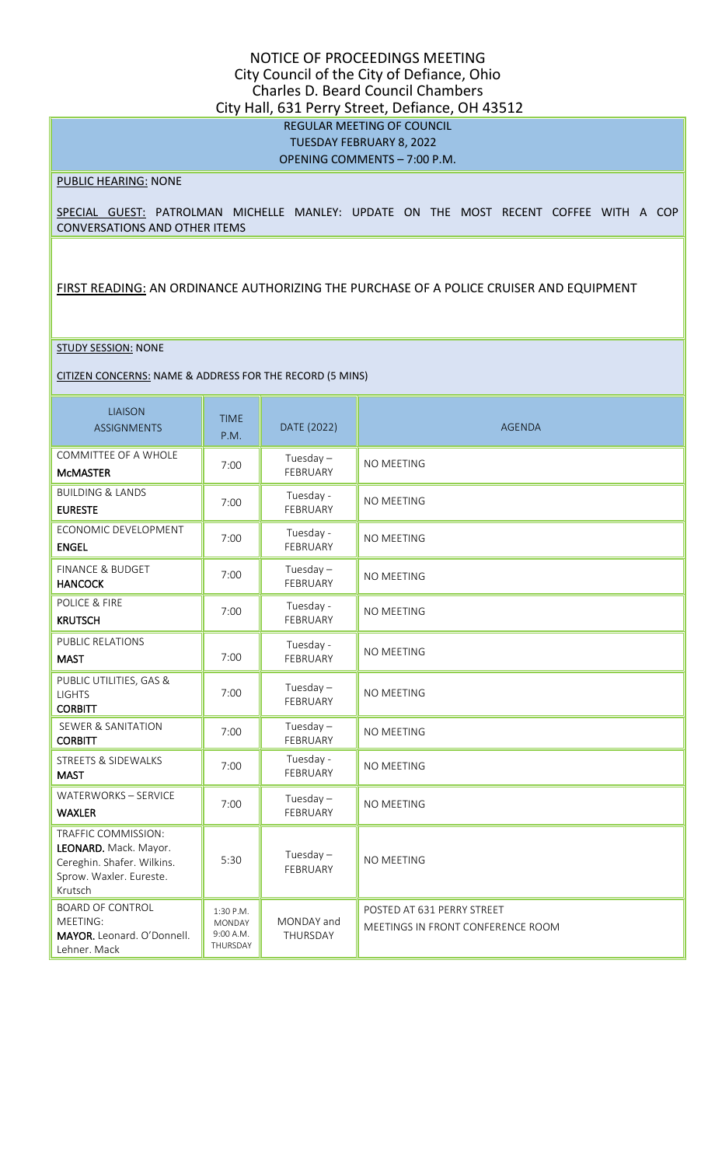### NOTICE OF PROCEEDINGS MEETING City Council of the City of Defiance, Ohio Charles D. Beard Council Chambers City Hall, 631 Perry Street, Defiance, OH 43512 REGULAR MEETING OF COUNCIL TUESDAY FEBRUARY 8, 2022 OPENING COMMENTS – 7:00 P.M.

#### PUBLIC HEARING: NONE

SPECIAL GUEST: PATROLMAN MICHELLE MANLEY: UPDATE ON THE MOST RECENT COFFEE WITH A COP CONVERSATIONS AND OTHER ITEMS

FIRST READING: AN ORDINANCE AUTHORIZING THE PURCHASE OF A POLICE CRUISER AND EQUIPMENT

#### STUDY SESSION: NONE

CITIZEN CONCERNS: NAME & ADDRESS FOR THE RECORD (5 MINS)

| <b>LIAISON</b><br><b>ASSIGNMENTS</b>                                                                             | <b>TIME</b><br>P.M.                                 | DATE (2022)             | <b>AGENDA</b>                                                   |
|------------------------------------------------------------------------------------------------------------------|-----------------------------------------------------|-------------------------|-----------------------------------------------------------------|
| COMMITTEE OF A WHOLE<br><b>McMASTER</b>                                                                          | 7:00                                                | Tuesday $-$<br>FEBRUARY | NO MEETING                                                      |
| <b>BUILDING &amp; LANDS</b><br><b>EURESTE</b>                                                                    | 7:00                                                | Tuesday -<br>FEBRUARY   | NO MEETING                                                      |
| ECONOMIC DEVELOPMENT<br><b>ENGEL</b>                                                                             | 7:00                                                | Tuesday -<br>FEBRUARY   | NO MEETING                                                      |
| <b>FINANCE &amp; BUDGET</b><br><b>HANCOCK</b>                                                                    | 7:00                                                | Tuesday $-$<br>FEBRUARY | NO MEETING                                                      |
| POLICE & FIRE<br><b>KRUTSCH</b>                                                                                  | 7:00                                                | Tuesday -<br>FEBRUARY   | <b>NO MEETING</b>                                               |
| <b>PUBLIC RELATIONS</b><br><b>MAST</b>                                                                           | 7:00                                                | Tuesday -<br>FEBRUARY   | <b>NO MEETING</b>                                               |
| PUBLIC UTILITIES, GAS &<br><b>LIGHTS</b><br><b>CORBITT</b>                                                       | 7:00                                                | Tuesday $-$<br>FEBRUARY | NO MEETING                                                      |
| <b>SEWER &amp; SANITATION</b><br><b>CORBITT</b>                                                                  | 7:00                                                | Tuesday $-$<br>FEBRUARY | NO MEETING                                                      |
| <b>STREETS &amp; SIDEWALKS</b><br><b>MAST</b>                                                                    | 7:00                                                | Tuesday -<br>FEBRUARY   | NO MEETING                                                      |
| WATERWORKS - SERVICE<br><b>WAXLER</b>                                                                            | 7:00                                                | Tuesday $-$<br>FEBRUARY | NO MEETING                                                      |
| TRAFFIC COMMISSION:<br>LEONARD. Mack. Mayor.<br>Cereghin. Shafer. Wilkins.<br>Sprow. Waxler. Eureste.<br>Krutsch | 5:30                                                | Tuesday $-$<br>FEBRUARY | NO MEETING                                                      |
| <b>BOARD OF CONTROL</b><br>MEETING:<br>MAYOR. Leonard. O'Donnell.<br>Lehner. Mack                                | 1:30 P.M.<br><b>MONDAY</b><br>9:00 A.M.<br>THURSDAY | MONDAY and<br>THURSDAY  | POSTED AT 631 PERRY STREET<br>MEETINGS IN FRONT CONFERENCE ROOM |